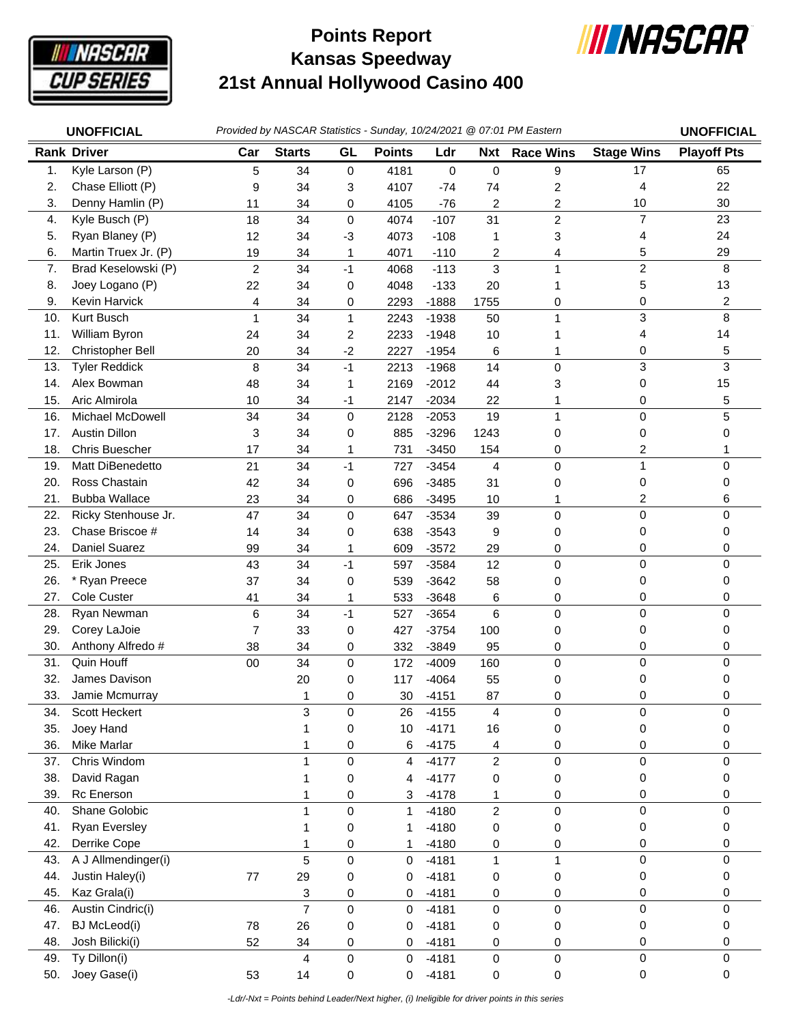

## **Kansas Speedway 21st Annual Hollywood Casino 400 Points Report**



|     | <b>UNOFFICIAL</b>     |                |                |             |               |         |                  | Provided by NASCAR Statistics - Sunday, 10/24/2021 @ 07:01 PM Eastern |                   | <b>UNOFFICIAL</b>  |
|-----|-----------------------|----------------|----------------|-------------|---------------|---------|------------------|-----------------------------------------------------------------------|-------------------|--------------------|
|     | <b>Rank Driver</b>    | Car            | <b>Starts</b>  | GL          | <b>Points</b> | Ldr     | <b>Nxt</b>       | <b>Race Wins</b>                                                      | <b>Stage Wins</b> | <b>Playoff Pts</b> |
| 1.  | Kyle Larson (P)       | 5              | 34             | $\mathbf 0$ | 4181          | 0       | 0                | 9                                                                     | 17                | 65                 |
| 2.  | Chase Elliott (P)     | 9              | 34             | 3           | 4107          | $-74$   | 74               | 2                                                                     | 4                 | 22                 |
| 3.  | Denny Hamlin (P)      | 11             | 34             | 0           | 4105          | $-76$   | 2                | 2                                                                     | 10                | 30                 |
| 4.  | Kyle Busch (P)        | 18             | 34             | $\mathbf 0$ | 4074          | $-107$  | 31               | $\overline{c}$                                                        | $\overline{7}$    | 23                 |
| 5.  | Ryan Blaney (P)       | 12             | 34             | -3          | 4073          | $-108$  | 1                | 3                                                                     | 4                 | 24                 |
| 6.  | Martin Truex Jr. (P)  | 19             | 34             | 1           | 4071          | $-110$  | 2                | 4                                                                     | 5                 | 29                 |
| 7.  | Brad Keselowski (P)   | $\overline{c}$ | 34             | $-1$        | 4068          | $-113$  | 3                | 1                                                                     | $\overline{c}$    | 8                  |
| 8.  | Joey Logano (P)       | 22             | 34             | 0           | 4048          | $-133$  | 20               |                                                                       | 5                 | 13                 |
| 9.  | Kevin Harvick         | $\overline{4}$ | 34             | 0           | 2293          | $-1888$ | 1755             | 0                                                                     | 0                 | $\overline{c}$     |
| 10. | Kurt Busch            | $\mathbf 1$    | 34             | 1           | 2243          | $-1938$ | 50               | 1                                                                     | 3                 | 8                  |
| 11. | William Byron         | 24             | 34             | 2           | 2233          | $-1948$ | 10               | 1                                                                     | 4                 | 14                 |
| 12. | Christopher Bell      | 20             | 34             | $-2$        | 2227          | $-1954$ | 6                | 1                                                                     | 0                 | 5                  |
| 13. | <b>Tyler Reddick</b>  | 8              | 34             | $-1$        | 2213          | $-1968$ | 14               | $\mathbf 0$                                                           | 3                 | 3                  |
| 14. | Alex Bowman           | 48             | 34             | 1           | 2169          | $-2012$ | 44               | 3                                                                     | 0                 | 15                 |
| 15. | Aric Almirola         | 10             | 34             | $-1$        | 2147          | $-2034$ | 22               | 1                                                                     | 0                 | 5                  |
| 16. | Michael McDowell      | 34             | 34             | $\pmb{0}$   | 2128          | $-2053$ | 19               | $\mathbf{1}$                                                          | $\pmb{0}$         | 5                  |
| 17. | <b>Austin Dillon</b>  | 3              | 34             | 0           | 885           | $-3296$ | 1243             | 0                                                                     | 0                 | 0                  |
| 18. | <b>Chris Buescher</b> | 17             | 34             | 1           | 731           | $-3450$ | 154              | 0                                                                     | 2                 |                    |
| 19. | Matt DiBenedetto      | 21             | 34             | $-1$        | 727           | $-3454$ | 4                | $\mathbf 0$                                                           | 1                 | 0                  |
| 20. | Ross Chastain         | 42             | 34             | 0           | 696           | $-3485$ | 31               | 0                                                                     | 0                 | 0                  |
| 21. | <b>Bubba Wallace</b>  | 23             | 34             | 0           | 686           | $-3495$ | 10               | 1                                                                     | 2                 | 6                  |
| 22. | Ricky Stenhouse Jr.   | 47             | 34             | $\mathbf 0$ | 647           | $-3534$ | 39               | 0                                                                     | $\mathbf 0$       | $\mathbf 0$        |
| 23. | Chase Briscoe #       | 14             | 34             | 0           | 638           | $-3543$ | 9                | 0                                                                     | 0                 | 0                  |
| 24. | Daniel Suarez         | 99             | 34             | 1           | 609           | $-3572$ | 29               | 0                                                                     | 0                 | 0                  |
| 25. | Erik Jones            | 43             | 34             | $-1$        | 597           | $-3584$ | 12               | $\mathbf 0$                                                           | 0                 | 0                  |
| 26. | * Ryan Preece         | 37             | 34             | 0           | 539           | $-3642$ | 58               | 0                                                                     | 0                 | 0                  |
| 27. | Cole Custer           | 41             | 34             | 1           | 533           | $-3648$ | 6                | 0                                                                     | 0                 | 0                  |
| 28. | Ryan Newman           | 6              | 34             | $-1$        | 527           | $-3654$ | 6                | $\mathbf 0$                                                           | $\mathbf 0$       | $\Omega$           |
| 29. | Corey LaJoie          | 7              | 33             | 0           | 427           | $-3754$ | 100              | 0                                                                     | 0                 | 0                  |
| 30. | Anthony Alfredo #     | 38             | 34             | 0           | 332           | $-3849$ | 95               | 0                                                                     | 0                 | 0                  |
| 31. | Quin Houff            | 00             | 34             | $\mathbf 0$ | 172           | $-4009$ | 160              | $\pmb{0}$                                                             | $\mathbf 0$       | $\Omega$           |
| 32. | James Davison         |                | 20             | 0           | 117           | $-4064$ | 55               | 0                                                                     | 0                 | 0                  |
| 33. | Jamie Mcmurray        |                | 1              | 0           | 30            | $-4151$ | 87               | 0                                                                     | 0                 | 0                  |
| 34. | Scott Heckert         |                | 3              | 0           | 26            | $-4155$ | 4                | 0                                                                     | 0                 | 0                  |
| 35. | Joey Hand             |                | 1              | 0           | 10            | $-4171$ | 16               | 0                                                                     | 0                 | 0                  |
| 36. | <b>Mike Marlar</b>    |                |                | 0           | 6             | $-4175$ | 4                | 0                                                                     | 0                 | 0                  |
| 37. | Chris Windom          |                | 1              | $\mathbf 0$ | 4             | $-4177$ | $\boldsymbol{2}$ | $\pmb{0}$                                                             | 0                 | 0                  |
| 38. | David Ragan           |                |                | 0           | 4             | $-4177$ | 0                | 0                                                                     | 0                 | 0                  |
| 39. | Rc Enerson            |                | 1              | 0           | 3             | $-4178$ | 1                | 0                                                                     | 0                 | 0                  |
| 40. | Shane Golobic         |                | 1              | $\mathbf 0$ | 1             | $-4180$ | $\overline{c}$   | 0                                                                     | 0                 | 0                  |
| 41. | <b>Ryan Eversley</b>  |                | 1              | 0           | 1             | $-4180$ | 0                | 0                                                                     | 0                 | 0                  |
| 42. | Derrike Cope          |                | 1              | 0           | 1             | $-4180$ | 0                | 0                                                                     | 0                 | 0                  |
| 43. | A J Allmendinger(i)   |                | 5              | $\mathbf 0$ | $\mathbf 0$   | $-4181$ | $\mathbf{1}$     | 1                                                                     | $\pmb{0}$         | $\mathbf 0$        |
| 44. | Justin Haley(i)       | 77             | 29             | 0           | 0             | $-4181$ | 0                | 0                                                                     | 0                 | 0                  |
| 45. | Kaz Grala(i)          |                | 3              | 0           | 0             | $-4181$ | 0                | 0                                                                     | 0                 | 0                  |
| 46. | Austin Cindric(i)     |                | $\overline{7}$ | $\pmb{0}$   | 0             | $-4181$ | 0                | $\mathbf 0$                                                           | $\mathsf 0$       | $\mathbf 0$        |
| 47. | <b>BJ</b> McLeod(i)   | 78             | 26             | 0           | 0             | $-4181$ | 0                | 0                                                                     | 0                 | 0                  |
| 48. | Josh Bilicki(i)       | 52             | 34             | 0           | 0             | $-4181$ | 0                | 0                                                                     | 0                 | 0                  |
| 49. | Ty Dillon(i)          |                | 4              | 0           | $\mathbf 0$   | $-4181$ | $\mathbf 0$      | 0                                                                     | $\pmb{0}$         | $\mathbf 0$        |
| 50. | Joey Gase(i)          | 53             | 14             | 0           | $\mathbf 0$   | $-4181$ | 0                | 0                                                                     | $\mathbf 0$       | $\mathbf 0$        |